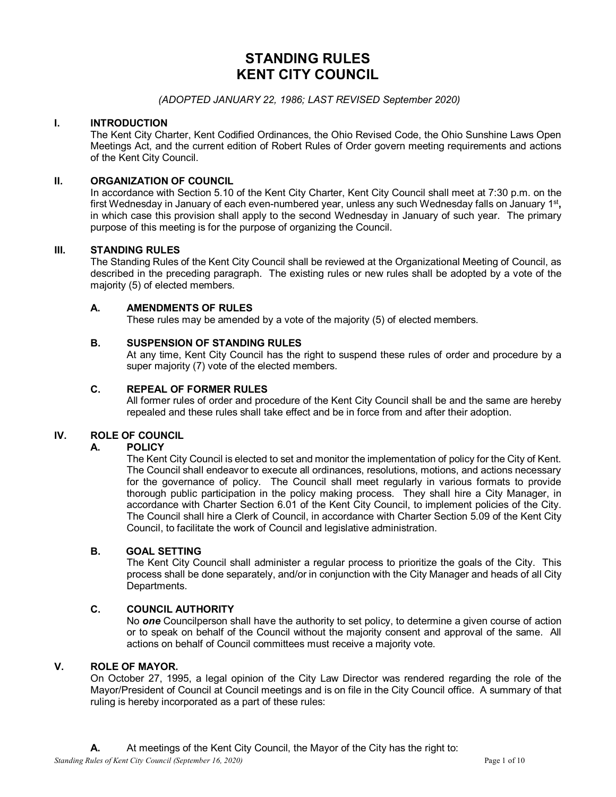# **STANDING RULES KENT CITY COUNCIL**

# *(ADOPTED JANUARY 22, 1986; LAST REVISED September 2020)*

# **I. INTRODUCTION**

The Kent City Charter, Kent Codified Ordinances, the Ohio Revised Code, the Ohio Sunshine Laws Open Meetings Act, and the current edition of Robert Rules of Order govern meeting requirements and actions of the Kent City Council.

# **II. ORGANIZATION OF COUNCIL**

In accordance with Section 5.10 of the Kent City Charter, Kent City Council shall meet at 7:30 p.m. on the first Wednesday in January of each even-numbered year, unless any such Wednesday falls on January 1st**,** in which case this provision shall apply to the second Wednesday in January of such year. The primary purpose of this meeting is for the purpose of organizing the Council.

## **III. STANDING RULES**

The Standing Rules of the Kent City Council shall be reviewed at the Organizational Meeting of Council, as described in the preceding paragraph. The existing rules or new rules shall be adopted by a vote of the majority (5) of elected members.

## **A. AMENDMENTS OF RULES**

These rules may be amended by a vote of the majority (5) of elected members.

## **B. SUSPENSION OF STANDING RULES**

At any time, Kent City Council has the right to suspend these rules of order and procedure by a super majority (7) vote of the elected members.

# **C. REPEAL OF FORMER RULES**

All former rules of order and procedure of the Kent City Council shall be and the same are hereby repealed and these rules shall take effect and be in force from and after their adoption.

# **IV. ROLE OF COUNCIL**

## **A. POLICY**

The Kent City Council is elected to set and monitor the implementation of policy for the City of Kent. The Council shall endeavor to execute all ordinances, resolutions, motions, and actions necessary for the governance of policy. The Council shall meet regularly in various formats to provide thorough public participation in the policy making process. They shall hire a City Manager, in accordance with Charter Section 6.01 of the Kent City Council, to implement policies of the City. The Council shall hire a Clerk of Council, in accordance with Charter Section 5.09 of the Kent City Council, to facilitate the work of Council and legislative administration.

## **B. GOAL SETTING**

The Kent City Council shall administer a regular process to prioritize the goals of the City. This process shall be done separately, and/or in conjunction with the City Manager and heads of all City Departments.

# **C. COUNCIL AUTHORITY**

No *one* Councilperson shall have the authority to set policy, to determine a given course of action or to speak on behalf of the Council without the majority consent and approval of the same. All actions on behalf of Council committees must receive a majority vote.

## **V. ROLE OF MAYOR.**

On October 27, 1995, a legal opinion of the City Law Director was rendered regarding the role of the Mayor/President of Council at Council meetings and is on file in the City Council office. A summary of that ruling is hereby incorporated as a part of these rules: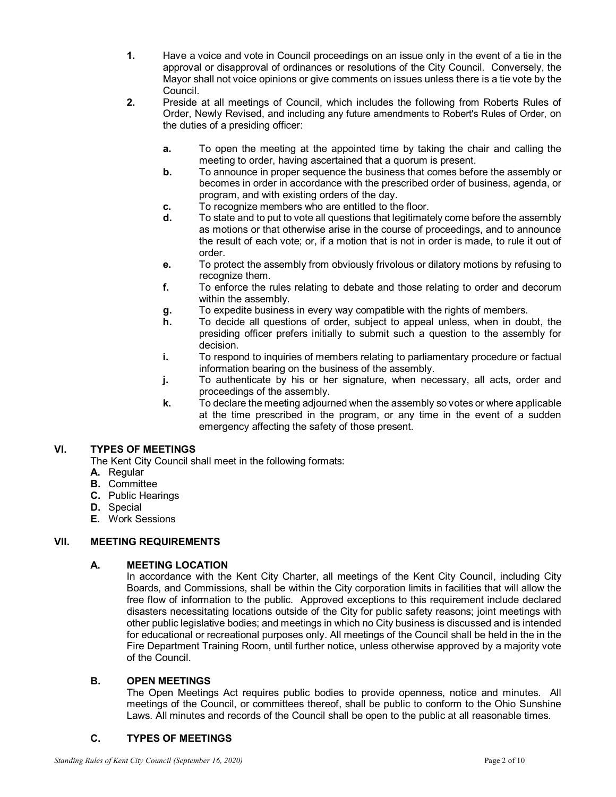- **1.** Have a voice and vote in Council proceedings on an issue only in the event of a tie in the approval or disapproval of ordinances or resolutions of the City Council. Conversely, the Mayor shall not voice opinions or give comments on issues unless there is a tie vote by the Council.
- **2.** Preside at all meetings of Council, which includes the following from Roberts Rules of Order, Newly Revised, and including any future amendments to Robert's Rules of Order, on the duties of a presiding officer:
	- **a.** To open the meeting at the appointed time by taking the chair and calling the meeting to order, having ascertained that a quorum is present.
	- **b.** To announce in proper sequence the business that comes before the assembly or becomes in order in accordance with the prescribed order of business, agenda, or program, and with existing orders of the day.
	- **c.** To recognize members who are entitled to the floor.
	- **d.** To state and to put to vote all questions that legitimately come before the assembly as motions or that otherwise arise in the course of proceedings, and to announce the result of each vote; or, if a motion that is not in order is made, to rule it out of order.
	- **e.** To protect the assembly from obviously frivolous or dilatory motions by refusing to recognize them.
	- **f.** To enforce the rules relating to debate and those relating to order and decorum within the assembly.
	- **g.** To expedite business in every way compatible with the rights of members.
	- **h.** To decide all questions of order, subject to appeal unless, when in doubt, the presiding officer prefers initially to submit such a question to the assembly for decision.
	- **i.** To respond to inquiries of members relating to parliamentary procedure or factual information bearing on the business of the assembly.
	- **j.** To authenticate by his or her signature, when necessary, all acts, order and proceedings of the assembly.
	- **k.** To declare the meeting adjourned when the assembly so votes or where applicable at the time prescribed in the program, or any time in the event of a sudden emergency affecting the safety of those present.

# **VI. TYPES OF MEETINGS**

The Kent City Council shall meet in the following formats:

- **A.** Regular
- **B.** Committee
- **C.** Public Hearings
- **D.** Special
- **E.** Work Sessions

# **VII. MEETING REQUIREMENTS**

# **A. MEETING LOCATION**

In accordance with the Kent City Charter, all meetings of the Kent City Council, including City Boards, and Commissions, shall be within the City corporation limits in facilities that will allow the free flow of information to the public. Approved exceptions to this requirement include declared disasters necessitating locations outside of the City for public safety reasons; joint meetings with other public legislative bodies; and meetings in which no City business is discussed and is intended for educational or recreational purposes only. All meetings of the Council shall be held in the in the Fire Department Training Room, until further notice, unless otherwise approved by a majority vote of the Council.

## **B. OPEN MEETINGS**

The Open Meetings Act requires public bodies to provide openness, notice and minutes.All meetings of the Council, or committees thereof, shall be public to conform to the Ohio Sunshine Laws. All minutes and records of the Council shall be open to the public at all reasonable times.

# **C. TYPES OF MEETINGS**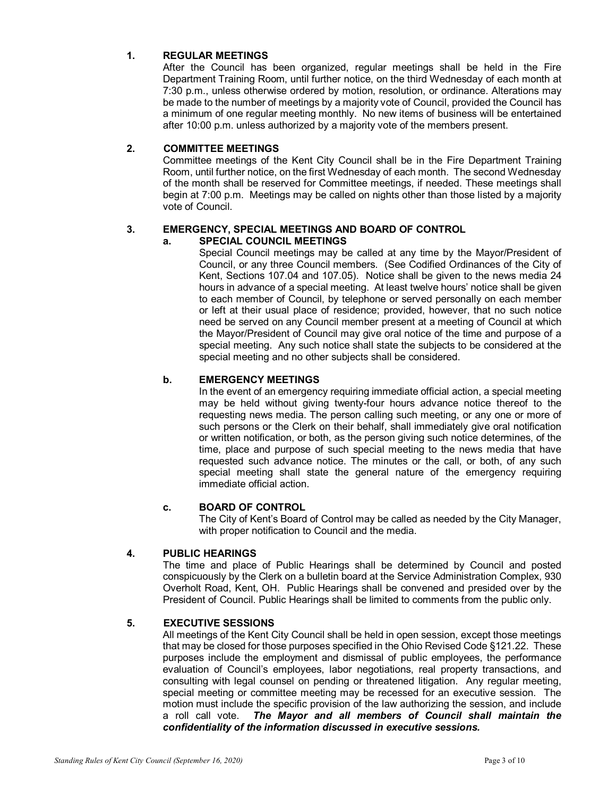# **1. REGULAR MEETINGS**

After the Council has been organized, regular meetings shall be held in the Fire Department Training Room, until further notice, on the third Wednesday of each month at 7:30 p.m., unless otherwise ordered by motion, resolution, or ordinance. Alterations may be made to the number of meetings by a majority vote of Council, provided the Council has a minimum of one regular meeting monthly. No new items of business will be entertained after 10:00 p.m. unless authorized by a majority vote of the members present.

# **2. COMMITTEE MEETINGS**

Committee meetings of the Kent City Council shall be in the Fire Department Training Room, until further notice, on the first Wednesday of each month. The second Wednesday of the month shall be reserved for Committee meetings, if needed. These meetings shall begin at 7:00 p.m. Meetings may be called on nights other than those listed by a majority vote of Council.

# **3. EMERGENCY, SPECIAL MEETINGS AND BOARD OF CONTROL**

## **a. SPECIAL COUNCIL MEETINGS**

Special Council meetings may be called at any time by the Mayor/President of Council, or any three Council members. (See Codified Ordinances of the City of Kent, Sections 107.04 and 107.05). Notice shall be given to the news media 24 hours in advance of a special meeting. At least twelve hours' notice shall be given to each member of Council, by telephone or served personally on each member or left at their usual place of residence; provided, however, that no such notice need be served on any Council member present at a meeting of Council at which the Mayor/President of Council may give oral notice of the time and purpose of a special meeting. Any such notice shall state the subjects to be considered at the special meeting and no other subjects shall be considered.

# **b. EMERGENCY MEETINGS**

In the event of an emergency requiring immediate official action, a special meeting may be held without giving twenty-four hours advance notice thereof to the requesting news media. The person calling such meeting, or any one or more of such persons or the Clerk on their behalf, shall immediately give oral notification or written notification, or both, as the person giving such notice determines, of the time, place and purpose of such special meeting to the news media that have requested such advance notice. The minutes or the call, or both, of any such special meeting shall state the general nature of the emergency requiring immediate official action.

## **c. BOARD OF CONTROL**

The City of Kent's Board of Control may be called as needed by the City Manager, with proper notification to Council and the media.

# **4. PUBLIC HEARINGS**

The time and place of Public Hearings shall be determined by Council and posted conspicuously by the Clerk on a bulletin board at the Service Administration Complex, 930 Overholt Road, Kent, OH. Public Hearings shall be convened and presided over by the President of Council. Public Hearings shall be limited to comments from the public only.

## **5. EXECUTIVE SESSIONS**

All meetings of the Kent City Council shall be held in open session, except those meetings that may be closed for those purposes specified in the Ohio Revised Code §121.22. These purposes include the employment and dismissal of public employees, the performance evaluation of Council's employees, labor negotiations, real property transactions, and consulting with legal counsel on pending or threatened litigation. Any regular meeting, special meeting or committee meeting may be recessed for an executive session. The motion must include the specific provision of the law authorizing the session, and include a roll call vote. *The Mayor and all members of Council shall maintain the confidentiality of the information discussed in executive sessions.*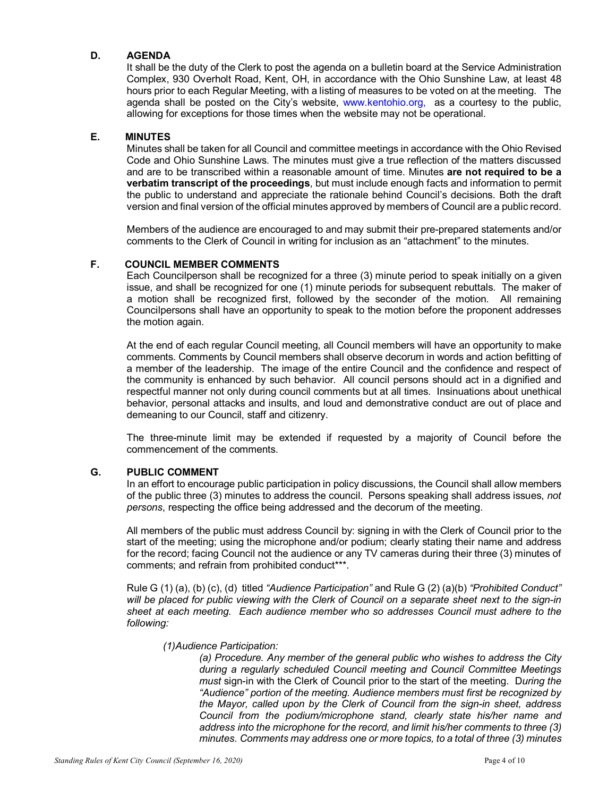# **D. AGENDA**

It shall be the duty of the Clerk to post the agenda on a bulletin board at the Service Administration Complex, 930 Overholt Road, Kent, OH, in accordance with the Ohio Sunshine Law, at least 48 hours prior to each Regular Meeting, with a listing of measures to be voted on at the meeting. The agenda shall be posted on the City's website, [www.kentohio.org,](file://cok-pd/users/GrimmT/Council%20Information/www.kentohio.org,) as a courtesy to the public, allowing for exceptions for those times when the website may not be operational.

# **E. MINUTES**

Minutes shall be taken for all Council and committee meetings in accordance with the Ohio Revised Code and Ohio Sunshine Laws. The minutes must give a true reflection of the matters discussed and are to be transcribed within a reasonable amount of time. Minutes **are not required to be a verbatim transcript of the proceedings**, but must include enough facts and information to permit the public to understand and appreciate the rationale behind Council's decisions. Both the draft version and final version of the official minutes approved by members of Council are a public record.

Members of the audience are encouraged to and may submit their pre-prepared statements and/or comments to the Clerk of Council in writing for inclusion as an "attachment" to the minutes.

## **F. COUNCIL MEMBER COMMENTS**

Each Councilperson shall be recognized for a three (3) minute period to speak initially on a given issue, and shall be recognized for one (1) minute periods for subsequent rebuttals. The maker of a motion shall be recognized first, followed by the seconder of the motion. All remaining Councilpersons shall have an opportunity to speak to the motion before the proponent addresses the motion again.

At the end of each regular Council meeting, all Council members will have an opportunity to make comments. Comments by Council members shall observe decorum in words and action befitting of a member of the leadership. The image of the entire Council and the confidence and respect of the community is enhanced by such behavior. All council persons should act in a dignified and respectful manner not only during council comments but at all times. Insinuations about unethical behavior, personal attacks and insults, and loud and demonstrative conduct are out of place and demeaning to our Council, staff and citizenry.

The three-minute limit may be extended if requested by a majority of Council before the commencement of the comments.

# **G. PUBLIC COMMENT**

In an effort to encourage public participation in policy discussions, the Council shall allow members of the public three (3) minutes to address the council. Persons speaking shall address issues, *not persons*, respecting the office being addressed and the decorum of the meeting.

All members of the public must address Council by: signing in with the Clerk of Council prior to the start of the meeting; using the microphone and/or podium; clearly stating their name and address for the record; facing Council not the audience or any TV cameras during their three (3) minutes of comments; and refrain from prohibited conduct\*\*\*.

Rule G (1) (a), (b) (c), (d) titled *"Audience Participation"* and Rule G (2) (a)(b) *"Prohibited Conduct" will be placed for public viewing with the Clerk of Council on a separate sheet next to the sign-in sheet at each meeting. Each audience member who so addresses Council must adhere to the following:*

## *(1)Audience Participation:*

*(a) Procedure. Any member of the general public who wishes to address the City during a regularly scheduled Council meeting and Council Committee Meetings must* sign-in with the Clerk of Council prior to the start of the meeting. D*uring the "Audience" portion of the meeting. Audience members must first be recognized by the Mayor, called upon by the Clerk of Council from the sign-in sheet, address Council from the podium/microphone stand, clearly state his/her name and address into the microphone for the record, and limit his/her comments to three (3) minutes. Comments may address one or more topics, to a total of three (3) minutes*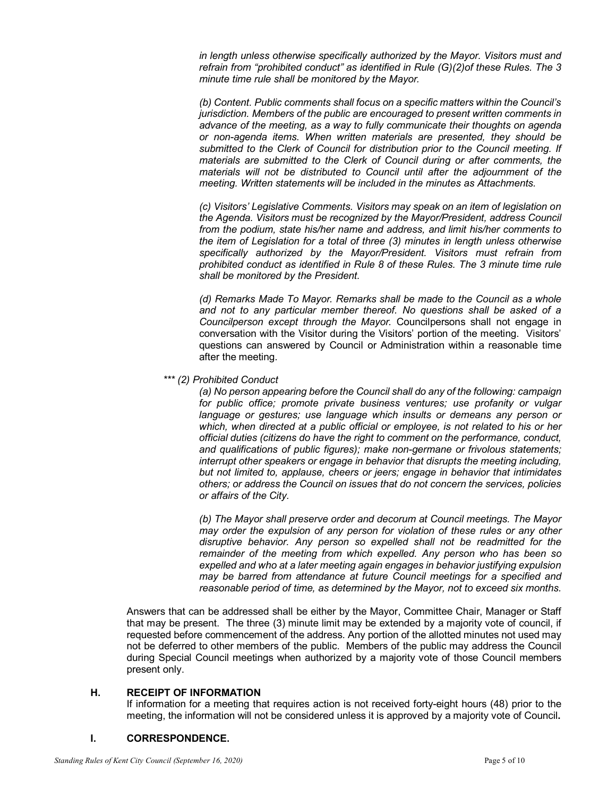*in length unless otherwise specifically authorized by the Mayor. Visitors must and refrain from "prohibited conduct" as identified in Rule (G)(2)of these Rules. The 3 minute time rule shall be monitored by the Mayor.*

*(b) Content. Public comments shall focus on a specific matters within the Council's jurisdiction. Members of the public are encouraged to present written comments in advance of the meeting, as a way to fully communicate their thoughts on agenda or non-agenda items. When written materials are presented, they should be*  submitted to the Clerk of Council for distribution prior to the Council meeting. If *materials are submitted to the Clerk of Council during or after comments, the materials will not be distributed to Council until after the adjournment of the meeting. Written statements will be included in the minutes as Attachments.*

*(c) Visitors' Legislative Comments. Visitors may speak on an item of legislation on the Agenda. Visitors must be recognized by the Mayor/President, address Council from the podium, state his/her name and address, and limit his/her comments to the item of Legislation for a total of three (3) minutes in length unless otherwise specifically authorized by the Mayor/President. Visitors must refrain from prohibited conduct as identified in Rule 8 of these Rules. The 3 minute time rule shall be monitored by the President.*

*(d) Remarks Made To Mayor. Remarks shall be made to the Council as a whole and not to any particular member thereof. No questions shall be asked of a Councilperson except through the Mayor.* Councilpersons shall not engage in conversation with the Visitor during the Visitors' portion of the meeting. Visitors' questions can answered by Council or Administration within a reasonable time after the meeting.

*\*\*\* (2) Prohibited Conduct*

*(a) No person appearing before the Council shall do any of the following: campaign for public office; promote private business ventures; use profanity or vulgar*  language or gestures; use language which insults or demeans any person or which, when directed at a public official or employee, is not related to his or her *official duties (citizens do have the right to comment on the performance, conduct, and qualifications of public figures); make non-germane or frivolous statements; interrupt other speakers or engage in behavior that disrupts the meeting including, but not limited to, applause, cheers or jeers; engage in behavior that intimidates others; or address the Council on issues that do not concern the services, policies or affairs of the City.*

*(b) The Mayor shall preserve order and decorum at Council meetings. The Mayor may order the expulsion of any person for violation of these rules or any other disruptive behavior. Any person so expelled shall not be readmitted for the remainder of the meeting from which expelled. Any person who has been so expelled and who at a later meeting again engages in behavior justifying expulsion may be barred from attendance at future Council meetings for a specified and reasonable period of time, as determined by the Mayor, not to exceed six months.*

Answers that can be addressed shall be either by the Mayor, Committee Chair, Manager or Staff that may be present. The three (3) minute limit may be extended by a majority vote of council, if requested before commencement of the address. Any portion of the allotted minutes not used may not be deferred to other members of the public. Members of the public may address the Council during Special Council meetings when authorized by a majority vote of those Council members present only.

# **H. RECEIPT OF INFORMATION**

If information for a meeting that requires action is not received forty-eight hours (48) prior to the meeting, the information will not be considered unless it is approved by a majority vote of Council**.**

## **I. CORRESPONDENCE.**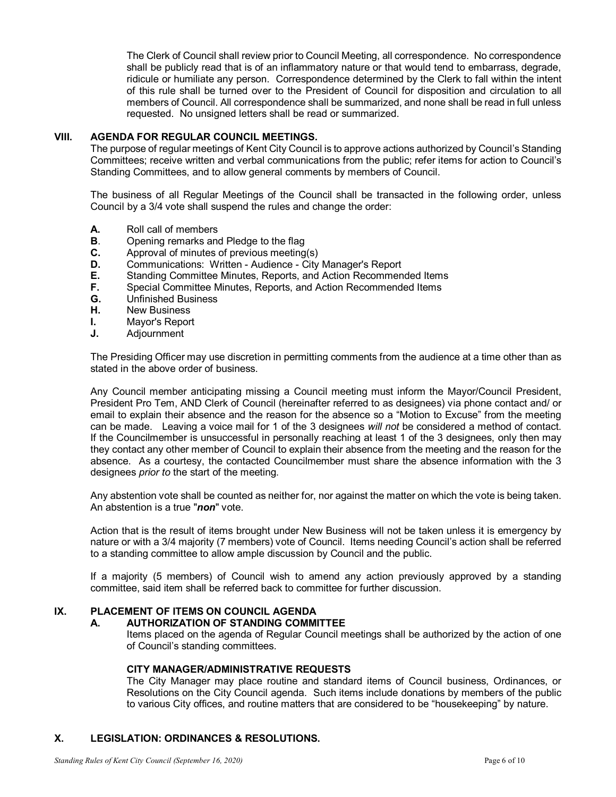The Clerk of Council shall review prior to Council Meeting, all correspondence. No correspondence shall be publicly read that is of an inflammatory nature or that would tend to embarrass, degrade, ridicule or humiliate any person. Correspondence determined by the Clerk to fall within the intent of this rule shall be turned over to the President of Council for disposition and circulation to all members of Council. All correspondence shall be summarized, and none shall be read in full unless requested. No unsigned letters shall be read or summarized.

# **VIII. AGENDA FOR REGULAR COUNCIL MEETINGS.**

The purpose of regular meetings of Kent City Council is to approve actions authorized by Council's Standing Committees; receive written and verbal communications from the public; refer items for action to Council's Standing Committees, and to allow general comments by members of Council.

The business of all Regular Meetings of the Council shall be transacted in the following order, unless Council by a 3/4 vote shall suspend the rules and change the order:

- **A.** Roll call of members
- **B**. Opening remarks and Pledge to the flag
- 
- **C.** Approval of minutes of previous meeting(s)<br>**D.** Communications: Written Audience City
- **D.** Communications: Written Audience City Manager's Report<br>**E.** Standing Committee Minutes. Reports. and Action Recommen **E.** Standing Committee Minutes, Reports, and Action Recommended Items
- **F.** Special Committee Minutes, Reports, and Action Recommended Items
- **G.** Unfinished Business<br>**H.** New Business
- **H.** New Business<br>**I.** Mavor's Report
- **I.** Mayor's Report
- **J.** Adjournment

The Presiding Officer may use discretion in permitting comments from the audience at a time other than as stated in the above order of business.

Any Council member anticipating missing a Council meeting must inform the Mayor/Council President, President Pro Tem, AND Clerk of Council (hereinafter referred to as designees) via phone contact and/ or email to explain their absence and the reason for the absence so a "Motion to Excuse" from the meeting can be made. Leaving a voice mail for 1 of the 3 designees *will not* be considered a method of contact. If the Councilmember is unsuccessful in personally reaching at least 1 of the 3 designees, only then may they contact any other member of Council to explain their absence from the meeting and the reason for the absence. As a courtesy, the contacted Councilmember must share the absence information with the 3 designees *prior to* the start of the meeting.

Any abstention vote shall be counted as neither for, nor against the matter on which the vote is being taken. An abstention is a true "*non*" vote.

Action that is the result of items brought under New Business will not be taken unless it is emergency by nature or with a 3/4 majority (7 members) vote of Council. Items needing Council's action shall be referred to a standing committee to allow ample discussion by Council and the public.

If a majority (5 members) of Council wish to amend any action previously approved by a standing committee, said item shall be referred back to committee for further discussion.

## **IX. PLACEMENT OF ITEMS ON COUNCIL AGENDA**

## **A. AUTHORIZATION OF STANDING COMMITTEE**

Items placed on the agenda of Regular Council meetings shall be authorized by the action of one of Council's standing committees.

## **CITY MANAGER/ADMINISTRATIVE REQUESTS**

The City Manager may place routine and standard items of Council business, Ordinances, or Resolutions on the City Council agenda. Such items include donations by members of the public to various City offices, and routine matters that are considered to be "housekeeping" by nature.

# **X. LEGISLATION: ORDINANCES & RESOLUTIONS.**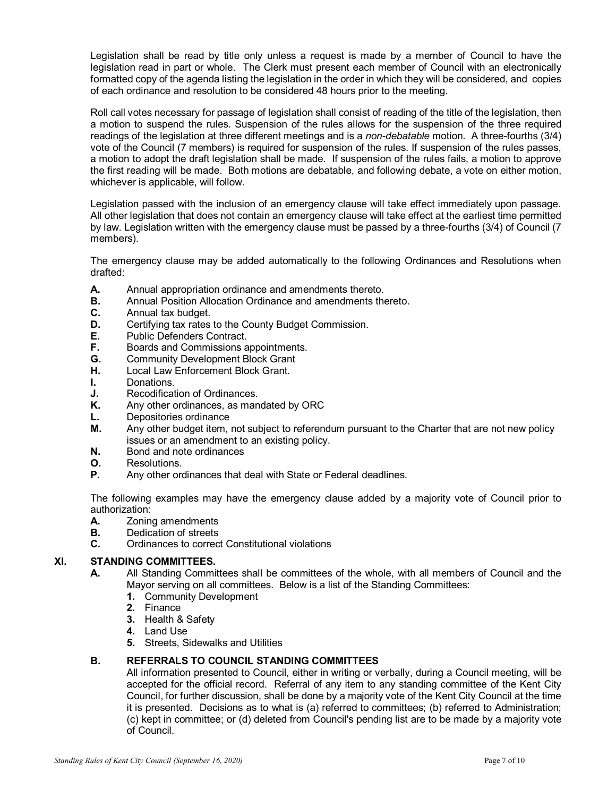Legislation shall be read by title only unless a request is made by a member of Council to have the legislation read in part or whole. The Clerk must present each member of Council with an electronically formatted copy of the agenda listing the legislation in the order in which they will be considered, and copies of each ordinance and resolution to be considered 48 hours prior to the meeting.

Roll call votes necessary for passage of legislation shall consist of reading of the title of the legislation, then a motion to suspend the rules. Suspension of the rules allows for the suspension of the three required readings of the legislation at three different meetings and is a *non-debatable* motion.A three-fourths (3/4) vote of the Council (7 members) is required for suspension of the rules. If suspension of the rules passes, a motion to adopt the draft legislation shall be made. If suspension of the rules fails, a motion to approve the first reading will be made. Both motions are debatable, and following debate, a vote on either motion, whichever is applicable, will follow.

Legislation passed with the inclusion of an emergency clause will take effect immediately upon passage. All other legislation that does not contain an emergency clause will take effect at the earliest time permitted by law. Legislation written with the emergency clause must be passed by a three-fourths (3/4) of Council (7 members).

The emergency clause may be added automatically to the following Ordinances and Resolutions when drafted:

- **A.** Annual appropriation ordinance and amendments thereto.
- **B.** Annual Position Allocation Ordinance and amendments thereto.
- **C.** Annual tax budget.
- **D.** Certifying tax rates to the County Budget Commission.<br>**E.** Public Defenders Contract.
- **E.** Public Defenders Contract.<br>**F.** Boards and Commissions a
- **F.** Boards and Commissions appointments.<br>**G.** Community Development Block Grant
- **G.** Community Development Block Grant<br>**H.** Local Law Enforcement Block Grant.
- **H.** Local Law Enforcement Block Grant.
- **I.** Donations.
- **J.** Recodification of Ordinances.<br>**K.** Anv other ordinances, as mar
- **K.** Any other ordinances, as mandated by ORC
- **L.** Depositories ordinance
- **M.** Any other budget item, not subject to referendum pursuant to the Charter that are not new policy issues or an amendment to an existing policy.
- **N.** Bond and note ordinances
- **O.** Resolutions.<br>**P.** Any other ore
- **P.** Any other ordinances that deal with State or Federal deadlines.

The following examples may have the emergency clause added by a majority vote of Council prior to authorization:<br>**A.** Zonin

- **A.** Zoning amendments<br>**B.** Dedication of streets
- **B.** Dedication of streets
- **C.** Ordinances to correct Constitutional violations

## **XI. STANDING COMMITTEES.**

- **A.** All Standing Committees shall be committees of the whole, with all members of Council and the Mayor serving on all committees. Below is a list of the Standing Committees:
	- **1.** Community Development
	- **2.** Finance
	- **3.** Health & Safety
	- **4.** Land Use
	- **5.** Streets, Sidewalks and Utilities

# **B. REFERRALS TO COUNCIL STANDING COMMITTEES**

All information presented to Council, either in writing or verbally, during a Council meeting, will be accepted for the official record. Referral of any item to any standing committee of the Kent City Council, for further discussion, shall be done by a majority vote of the Kent City Council at the time it is presented. Decisions as to what is (a) referred to committees; (b) referred to Administration; (c) kept in committee; or (d) deleted from Council's pending list are to be made by a majority vote of Council.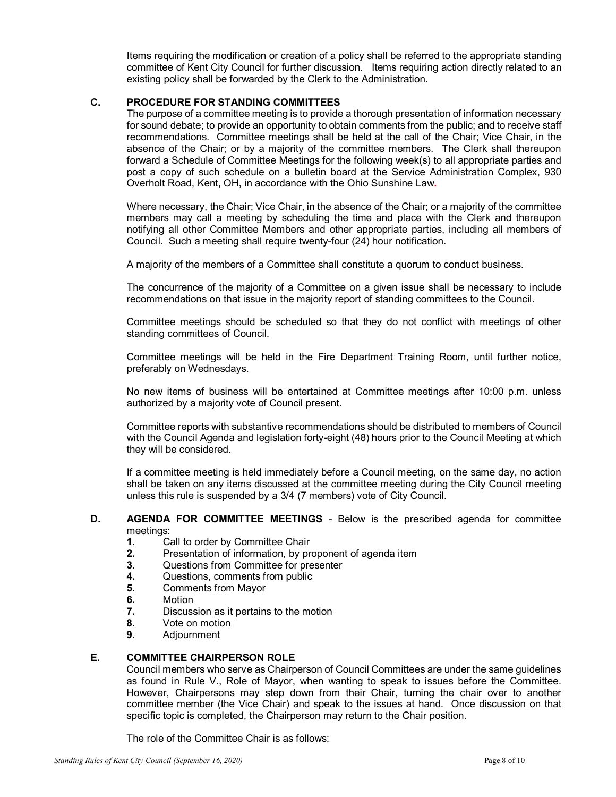Items requiring the modification or creation of a policy shall be referred to the appropriate standing committee of Kent City Council for further discussion. Items requiring action directly related to an existing policy shall be forwarded by the Clerk to the Administration.

# **C. PROCEDURE FOR STANDING COMMITTEES**

The purpose of a committee meeting is to provide a thorough presentation of information necessary for sound debate; to provide an opportunity to obtain comments from the public; and to receive staff recommendations. Committee meetings shall be held at the call of the Chair; Vice Chair, in the absence of the Chair; or by a majority of the committee members. The Clerk shall thereupon forward a Schedule of Committee Meetings for the following week(s) to all appropriate parties and post a copy of such schedule on a bulletin board at the Service Administration Complex, 930 Overholt Road, Kent, OH, in accordance with the Ohio Sunshine Law**.**

Where necessary, the Chair; Vice Chair, in the absence of the Chair; or a majority of the committee members may call a meeting by scheduling the time and place with the Clerk and thereupon notifying all other Committee Members and other appropriate parties, including all members of Council. Such a meeting shall require twenty-four (24) hour notification.

A majority of the members of a Committee shall constitute a quorum to conduct business.

The concurrence of the majority of a Committee on a given issue shall be necessary to include recommendations on that issue in the majority report of standing committees to the Council.

Committee meetings should be scheduled so that they do not conflict with meetings of other standing committees of Council.

Committee meetings will be held in the Fire Department Training Room, until further notice, preferably on Wednesdays.

No new items of business will be entertained at Committee meetings after 10:00 p.m. unless authorized by a majority vote of Council present.

Committee reports with substantive recommendations should be distributed to members of Council with the Council Agenda and legislation forty**-**eight (48) hours prior to the Council Meeting at which they will be considered.

If a committee meeting is held immediately before a Council meeting, on the same day, no action shall be taken on any items discussed at the committee meeting during the City Council meeting unless this rule is suspended by a 3/4 (7 members) vote of City Council.

- **D. AGENDA FOR COMMITTEE MEETINGS**  Below is the prescribed agenda for committee meetings:
	- **1.** Call to order by Committee Chair<br>**2.** Presentation of information, by presentation of information.
	- **2.** Presentation of information, by proponent of agenda item
	- **3.** Questions from Committee for presenter<br>**4.** Questions, comments from public
	- **4.** Questions, comments from public<br>**5.** Comments from Mavor
	- **5.** Comments from Mayor<br>**6.** Motion
	- **6.** Motion
	- **7.** Discussion as it pertains to the motion<br>**8.** Vote on motion
	- **8.** Vote on motion
	- **9.** Adjournment

## **E. COMMITTEE CHAIRPERSON ROLE**

Council members who serve as Chairperson of Council Committees are under the same guidelines as found in Rule V., Role of Mayor, when wanting to speak to issues before the Committee. However, Chairpersons may step down from their Chair, turning the chair over to another committee member (the Vice Chair) and speak to the issues at hand. Once discussion on that specific topic is completed, the Chairperson may return to the Chair position.

The role of the Committee Chair is as follows: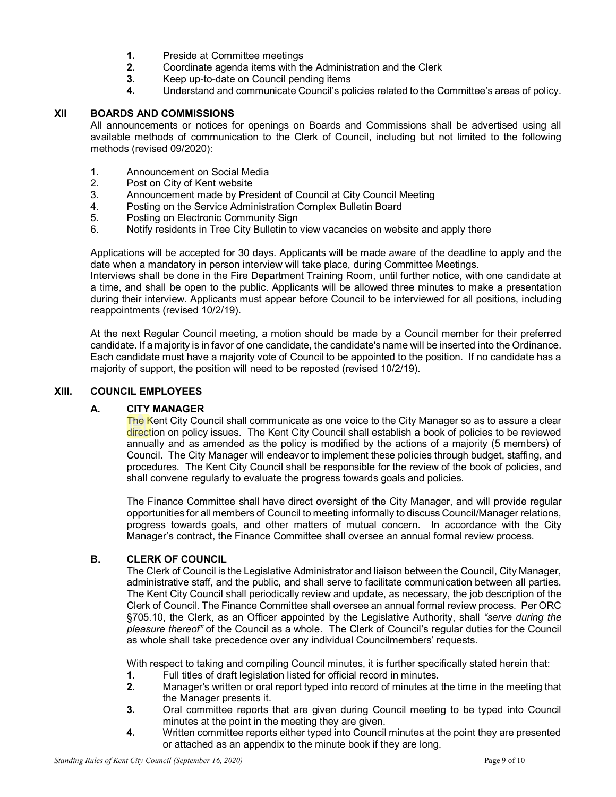- **1.** Preside at Committee meetings<br>**2.** Coordinate agenda items with the
- **2.** Coordinate agenda items with the Administration and the Clerk
- **3.** Keep up-to-date on Council pending items
- **4.** Understand and communicate Council's policies related to the Committee's areas of policy.

# **XII BOARDS AND COMMISSIONS**

All announcements or notices for openings on Boards and Commissions shall be advertised using all available methods of communication to the Clerk of Council, including but not limited to the following methods (revised 09/2020):

- 1. Announcement on Social Media<br>2. Post on City of Kent website
- Post on City of Kent website
- 3. Announcement made by President of Council at City Council Meeting<br>4. Posting on the Service Administration Complex Bulletin Board
- 4. Posting on the Service Administration Complex Bulletin Board<br>5. Posting on Electronic Community Sign
- Posting on Electronic Community Sign
- 6. Notify residents in Tree City Bulletin to view vacancies on website and apply there

Applications will be accepted for 30 days. Applicants will be made aware of the deadline to apply and the date when a mandatory in person interview will take place, during Committee Meetings.

Interviews shall be done in the Fire Department Training Room, until further notice, with one candidate at a time, and shall be open to the public. Applicants will be allowed three minutes to make a presentation during their interview. Applicants must appear before Council to be interviewed for all positions, including reappointments (revised 10/2/19).

At the next Regular Council meeting, a motion should be made by a Council member for their preferred candidate. If a majority is in favor of one candidate, the candidate's name will be inserted into the Ordinance. Each candidate must have a majority vote of Council to be appointed to the position. If no candidate has a majority of support, the position will need to be reposted (revised 10/2/19).

## **XIII. COUNCIL EMPLOYEES**

## **A. CITY MANAGER**

The Kent City Council shall communicate as one voice to the City Manager so as to assure a clear direction on policy issues. The Kent City Council shall establish a book of policies to be reviewed annually and as amended as the policy is modified by the actions of a majority (5 members) of Council. The City Manager will endeavor to implement these policies through budget, staffing, and procedures. The Kent City Council shall be responsible for the review of the book of policies, and shall convene regularly to evaluate the progress towards goals and policies.

The Finance Committee shall have direct oversight of the City Manager, and will provide regular opportunities for all members of Council to meeting informally to discuss Council/Manager relations, progress towards goals, and other matters of mutual concern. In accordance with the City Manager's contract, the Finance Committee shall oversee an annual formal review process.

# **B. CLERK OF COUNCIL**

The Clerk of Council is the Legislative Administrator and liaison between the Council, City Manager, administrative staff, and the public, and shall serve to facilitate communication between all parties. The Kent City Council shall periodically review and update, as necessary, the job description of the Clerk of Council. The Finance Committee shall oversee an annual formal review process. Per ORC §705.10, the Clerk, as an Officer appointed by the Legislative Authority, shall *"serve during the pleasure thereof"* of the Council as a whole. The Clerk of Council's regular duties for the Council as whole shall take precedence over any individual Councilmembers' requests.

With respect to taking and compiling Council minutes, it is further specifically stated herein that:<br>1. Full titles of draft legislation listed for official record in minutes.

- **1.** Full titles of draft legislation listed for official record in minutes.<br>**2.** Manager's written or oral report typed into record of minutes at
- **2.** Manager's written or oral report typed into record of minutes at the time in the meeting that the Manager presents it.
- **3.** Oral committee reports that are given during Council meeting to be typed into Council minutes at the point in the meeting they are given.
- **4.** Written committee reports either typed into Council minutes at the point they are presented or attached as an appendix to the minute book if they are long.